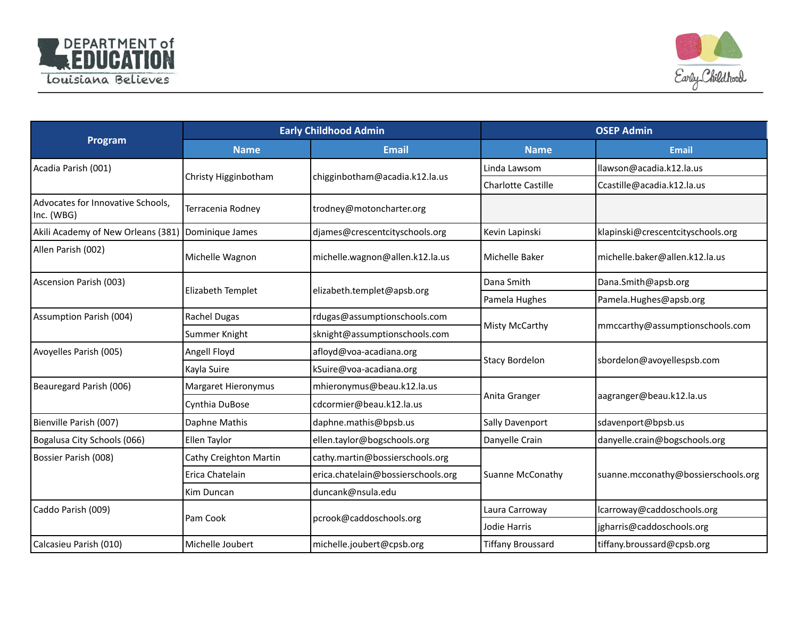



| Program                                         | <b>Early Childhood Admin</b> |                                    | <b>OSEP Admin</b>         |                                     |
|-------------------------------------------------|------------------------------|------------------------------------|---------------------------|-------------------------------------|
|                                                 | <b>Name</b>                  | <b>Email</b>                       | <b>Name</b>               | <b>Email</b>                        |
| Acadia Parish (001)                             | Christy Higginbotham         | chigginbotham@acadia.k12.la.us     | Linda Lawsom              | Ilawson@acadia.k12.la.us            |
|                                                 |                              |                                    | <b>Charlotte Castille</b> | Ccastille@acadia.k12.la.us          |
| Advocates for Innovative Schools,<br>Inc. (WBG) | Terracenia Rodney            | trodney@motoncharter.org           |                           |                                     |
| Akili Academy of New Orleans (381)              | Dominique James              | djames@crescentcityschools.org     | Kevin Lapinski            | klapinski@crescentcityschools.org   |
| Allen Parish (002)                              | Michelle Wagnon              | michelle.wagnon@allen.k12.la.us    | Michelle Baker            | michelle.baker@allen.k12.la.us      |
| Ascension Parish (003)                          |                              | elizabeth.templet@apsb.org         | Dana Smith                | Dana.Smith@apsb.org                 |
|                                                 | Elizabeth Templet            |                                    | Pamela Hughes             | Pamela.Hughes@apsb.org              |
| Assumption Parish (004)                         | Rachel Dugas                 | rdugas@assumptionschools.com       | Misty McCarthy            | mmccarthy@assumptionschools.com     |
|                                                 | Summer Knight                | sknight@assumptionschools.com      |                           |                                     |
| Avoyelles Parish (005)                          | Angell Floyd                 | afloyd@voa-acadiana.org            | <b>Stacy Bordelon</b>     | sbordelon@avoyellespsb.com          |
|                                                 | Kayla Suire                  | kSuire@voa-acadiana.org            |                           |                                     |
| Beauregard Parish (006)                         | Margaret Hieronymus          | mhieronymus@beau.k12.la.us         | Anita Granger             | aagranger@beau.k12.la.us            |
|                                                 | Cynthia DuBose               | cdcormier@beau.k12.la.us           |                           |                                     |
| Bienville Parish (007)                          | Daphne Mathis                | daphne.mathis@bpsb.us              | Sally Davenport           | sdavenport@bpsb.us                  |
| Bogalusa City Schools (066)                     | Ellen Taylor                 | ellen.taylor@bogschools.org        | Danyelle Crain            | danyelle.crain@bogschools.org       |
| Bossier Parish (008)                            | Cathy Creighton Martin       | cathy.martin@bossierschools.org    | <b>Suanne McConathy</b>   | suanne.mcconathy@bossierschools.org |
|                                                 | Erica Chatelain              | erica.chatelain@bossierschools.org |                           |                                     |
|                                                 | Kim Duncan                   | duncank@nsula.edu                  |                           |                                     |
| Caddo Parish (009)                              | Pam Cook                     |                                    | Laura Carroway            | Icarroway@caddoschools.org          |
|                                                 |                              | pcrook@caddoschools.org            | Jodie Harris              | jgharris@caddoschools.org           |
| Calcasieu Parish (010)                          | Michelle Joubert             | michelle.joubert@cpsb.org          | <b>Tiffany Broussard</b>  | tiffany.broussard@cpsb.org          |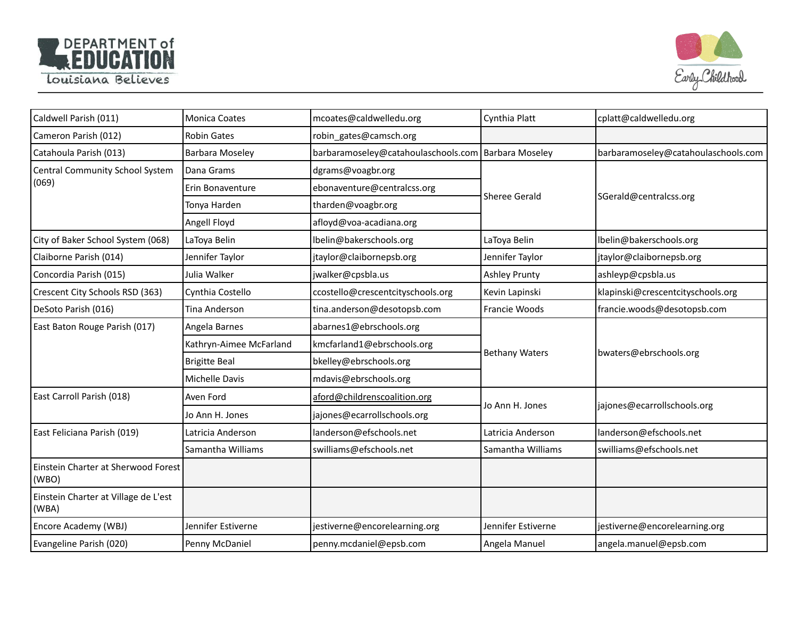



| Caldwell Parish (011)                         | <b>Monica Coates</b>    | mcoates@caldwelledu.org             | Cynthia Platt         | cplatt@caldwelledu.org              |
|-----------------------------------------------|-------------------------|-------------------------------------|-----------------------|-------------------------------------|
| Cameron Parish (012)                          | <b>Robin Gates</b>      | robin_gates@camsch.org              |                       |                                     |
| Catahoula Parish (013)                        | <b>Barbara Moseley</b>  | barbaramoseley@catahoulaschools.com | Barbara Moseley       | barbaramoseley@catahoulaschools.com |
| Central Community School System<br>(069)      | Dana Grams              | dgrams@voagbr.org                   | <b>Sheree Gerald</b>  |                                     |
|                                               | Erin Bonaventure        | ebonaventure@centralcss.org         |                       |                                     |
|                                               | Tonya Harden            | tharden@voagbr.org                  |                       | SGerald@centralcss.org              |
|                                               | Angell Floyd            | afloyd@voa-acadiana.org             |                       |                                     |
| City of Baker School System (068)             | LaToya Belin            | lbelin@bakerschools.org             | LaToya Belin          | lbelin@bakerschools.org             |
| Claiborne Parish (014)                        | Jennifer Taylor         | jtaylor@claibornepsb.org            | Jennifer Taylor       | jtaylor@claibornepsb.org            |
| Concordia Parish (015)                        | Julia Walker            | jwalker@cpsbla.us                   | <b>Ashley Prunty</b>  | ashleyp@cpsbla.us                   |
| Crescent City Schools RSD (363)               | Cynthia Costello        | ccostello@crescentcityschools.org   | Kevin Lapinski        | klapinski@crescentcityschools.org   |
| DeSoto Parish (016)                           | Tina Anderson           | tina.anderson@desotopsb.com         | Francie Woods         | francie.woods@desotopsb.com         |
| East Baton Rouge Parish (017)                 | Angela Barnes           | abarnes1@ebrschools.org             | <b>Bethany Waters</b> | bwaters@ebrschools.org              |
|                                               | Kathryn-Aimee McFarland | kmcfarland1@ebrschools.org          |                       |                                     |
|                                               | <b>Brigitte Beal</b>    | bkelley@ebrschools.org              |                       |                                     |
|                                               | Michelle Davis          | mdavis@ebrschools.org               |                       |                                     |
| East Carroll Parish (018)                     | Aven Ford               | aford@childrenscoalition.org        | Jo Ann H. Jones       | jajones@ecarrollschools.org         |
|                                               | Jo Ann H. Jones         | jajones@ecarrollschools.org         |                       |                                     |
| East Feliciana Parish (019)                   | Latricia Anderson       | landerson@efschools.net             | Latricia Anderson     | landerson@efschools.net             |
|                                               | Samantha Williams       | swilliams@efschools.net             | Samantha Williams     | swilliams@efschools.net             |
| Einstein Charter at Sherwood Forest<br>(WBO)  |                         |                                     |                       |                                     |
| Einstein Charter at Village de L'est<br>(WBA) |                         |                                     |                       |                                     |
| Encore Academy (WBJ)                          | Jennifer Estiverne      | jestiverne@encorelearning.org       | Jennifer Estiverne    | jestiverne@encorelearning.org       |
| Evangeline Parish (020)                       | Penny McDaniel          | penny.mcdaniel@epsb.com             | Angela Manuel         | angela.manuel@epsb.com              |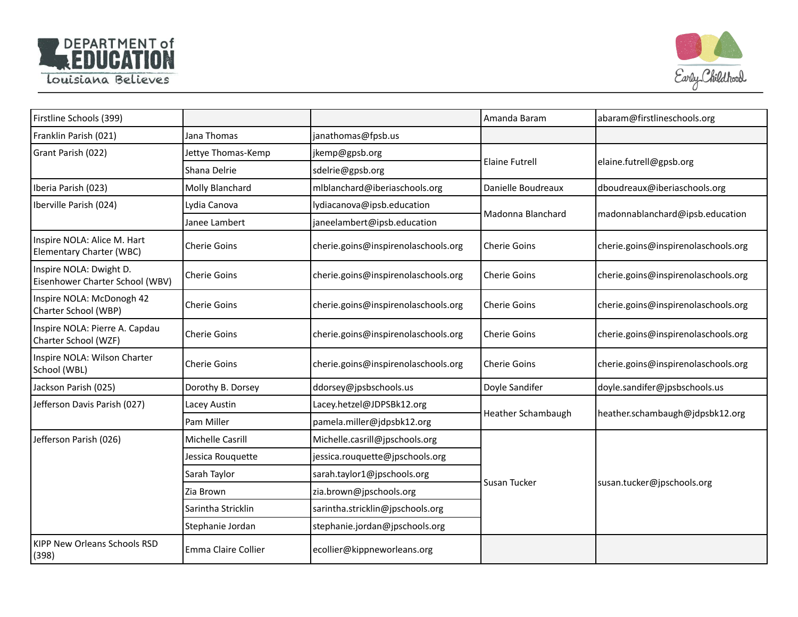



| Firstline Schools (399)                                        |                     |                                     | Amanda Baram          | abaram@firstlineschools.org         |
|----------------------------------------------------------------|---------------------|-------------------------------------|-----------------------|-------------------------------------|
| Franklin Parish (021)                                          | Jana Thomas         | janathomas@fpsb.us                  |                       |                                     |
| Grant Parish (022)                                             | Jettye Thomas-Kemp  | jkemp@gpsb.org                      | <b>Elaine Futrell</b> | elaine.futrell@gpsb.org             |
|                                                                | Shana Delrie        | sdelrie@gpsb.org                    |                       |                                     |
| Iberia Parish (023)                                            | Molly Blanchard     | mlblanchard@iberiaschools.org       | Danielle Boudreaux    | dboudreaux@iberiaschools.org        |
| Iberville Parish (024)                                         | Lydia Canova        | lydiacanova@ipsb.education          | Madonna Blanchard     | madonnablanchard@ipsb.education     |
|                                                                | Janee Lambert       | janeelambert@ipsb.education         |                       |                                     |
| Inspire NOLA: Alice M. Hart<br><b>Elementary Charter (WBC)</b> | <b>Cherie Goins</b> | cherie.goins@inspirenolaschools.org | Cherie Goins          | cherie.goins@inspirenolaschools.org |
| Inspire NOLA: Dwight D.<br>Eisenhower Charter School (WBV)     | <b>Cherie Goins</b> | cherie.goins@inspirenolaschools.org | <b>Cherie Goins</b>   | cherie.goins@inspirenolaschools.org |
| Inspire NOLA: McDonogh 42<br>Charter School (WBP)              | <b>Cherie Goins</b> | cherie.goins@inspirenolaschools.org | <b>Cherie Goins</b>   | cherie.goins@inspirenolaschools.org |
| Inspire NOLA: Pierre A. Capdau<br>Charter School (WZF)         | <b>Cherie Goins</b> | cherie.goins@inspirenolaschools.org | <b>Cherie Goins</b>   | cherie.goins@inspirenolaschools.org |
| Inspire NOLA: Wilson Charter<br>School (WBL)                   | <b>Cherie Goins</b> | cherie.goins@inspirenolaschools.org | <b>Cherie Goins</b>   | cherie.goins@inspirenolaschools.org |
| Jackson Parish (025)                                           | Dorothy B. Dorsey   | ddorsey@jpsbschools.us              | Doyle Sandifer        | doyle.sandifer@jpsbschools.us       |
| Jefferson Davis Parish (027)                                   | Lacey Austin        | Lacey.hetzel@JDPSBk12.org           | Heather Schambaugh    | heather.schambaugh@jdpsbk12.org     |
|                                                                | Pam Miller          | pamela.miller@jdpsbk12.org          |                       |                                     |
| Jefferson Parish (026)                                         | Michelle Casrill    | Michelle.casrill@jpschools.org      | Susan Tucker          | susan.tucker@jpschools.org          |
|                                                                | Jessica Rouquette   | jessica.rouquette@jpschools.org     |                       |                                     |
|                                                                | Sarah Taylor        | sarah.taylor1@jpschools.org         |                       |                                     |
|                                                                | Zia Brown           | zia.brown@jpschools.org             |                       |                                     |
|                                                                | Sarintha Stricklin  | sarintha.stricklin@jpschools.org    |                       |                                     |
|                                                                | Stephanie Jordan    | stephanie.jordan@jpschools.org      |                       |                                     |
| <b>KIPP New Orleans Schools RSD</b><br>(398)                   | Emma Claire Collier | ecollier@kippneworleans.org         |                       |                                     |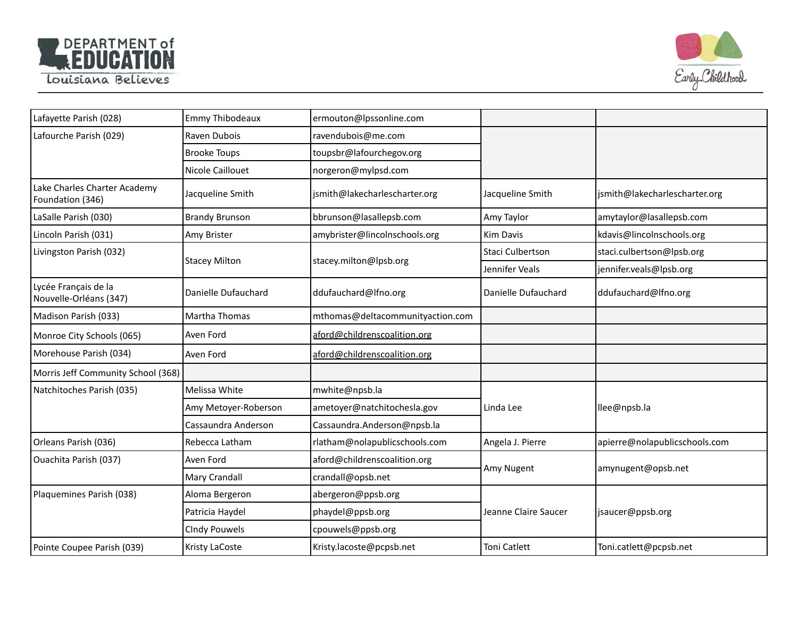



| Lafayette Parish (028)                           | <b>Emmy Thibodeaux</b> | ermouton@lpssonline.com          |                      |                               |
|--------------------------------------------------|------------------------|----------------------------------|----------------------|-------------------------------|
| Lafourche Parish (029)                           | Raven Dubois           | ravendubois@me.com               |                      |                               |
|                                                  | <b>Brooke Toups</b>    | toupsbr@lafourchegov.org         |                      |                               |
|                                                  | Nicole Caillouet       | norgeron@mylpsd.com              |                      |                               |
| Lake Charles Charter Academy<br>Foundation (346) | Jacqueline Smith       | jsmith@lakecharlescharter.org    | Jacqueline Smith     | jsmith@lakecharlescharter.org |
| LaSalle Parish (030)                             | <b>Brandy Brunson</b>  | bbrunson@lasallepsb.com          | Amy Taylor           | amytaylor@lasallepsb.com      |
| Lincoln Parish (031)                             | Amy Brister            | amybrister@lincolnschools.org    | Kim Davis            | kdavis@lincolnschools.org     |
| Livingston Parish (032)                          |                        |                                  | Staci Culbertson     | staci.culbertson@lpsb.org     |
|                                                  | <b>Stacey Milton</b>   | stacey.milton@lpsb.org           | Jennifer Veals       | jennifer.veals@lpsb.org       |
| Lycée Français de la<br>Nouvelle-Orléans (347)   | Danielle Dufauchard    | ddufauchard@lfno.org             | Danielle Dufauchard  | ddufauchard@lfno.org          |
| Madison Parish (033)                             | Martha Thomas          | mthomas@deltacommunityaction.com |                      |                               |
| Monroe City Schools (065)                        | Aven Ford              | aford@childrenscoalition.org     |                      |                               |
| Morehouse Parish (034)                           | Aven Ford              | aford@childrenscoalition.org     |                      |                               |
| Morris Jeff Community School (368)               |                        |                                  |                      |                               |
| Natchitoches Parish (035)                        | Melissa White          | mwhite@npsb.la                   | Linda Lee            | llee@npsb.la                  |
|                                                  | Amy Metoyer-Roberson   | ametoyer@natchitochesla.gov      |                      |                               |
|                                                  | Cassaundra Anderson    | Cassaundra.Anderson@npsb.la      |                      |                               |
| Orleans Parish (036)                             | Rebecca Latham         | rlatham@nolapublicschools.com    | Angela J. Pierre     | apierre@nolapublicschools.com |
| Ouachita Parish (037)                            | Aven Ford              | aford@childrenscoalition.org     | Amy Nugent           | amynugent@opsb.net            |
|                                                  | Mary Crandall          | crandall@opsb.net                |                      |                               |
| Plaquemines Parish (038)                         | Aloma Bergeron         | abergeron@ppsb.org               | Jeanne Claire Saucer | jsaucer@ppsb.org              |
|                                                  | Patricia Haydel        | phaydel@ppsb.org                 |                      |                               |
|                                                  | <b>CIndy Pouwels</b>   | cpouwels@ppsb.org                |                      |                               |
| Pointe Coupee Parish (039)                       | Kristy LaCoste         | Kristy.lacoste@pcpsb.net         | Toni Catlett         | Toni.catlett@pcpsb.net        |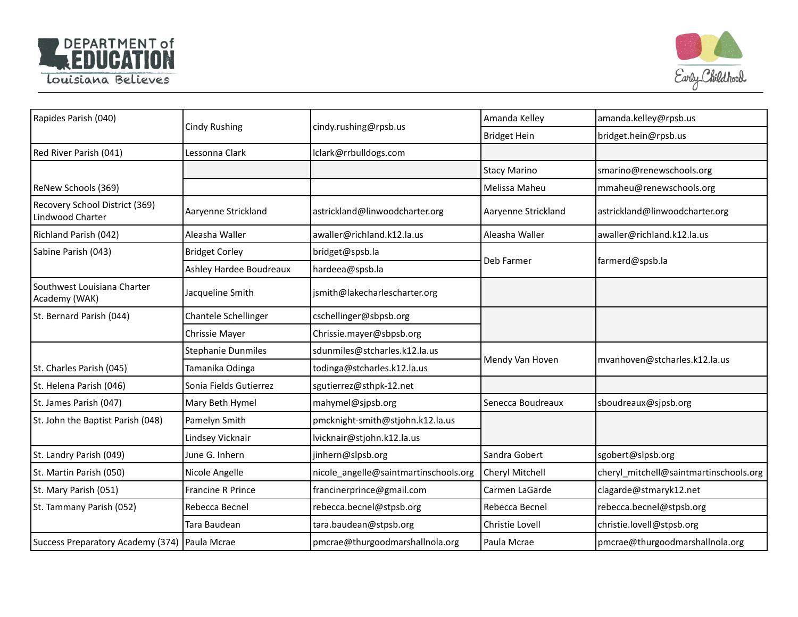



| Rapides Parish (040)                               | <b>Cindy Rushing</b>      | cindy.rushing@rpsb.us                 | Amanda Kelley       | amanda.kelley@rpsb.us                  |
|----------------------------------------------------|---------------------------|---------------------------------------|---------------------|----------------------------------------|
|                                                    |                           |                                       | <b>Bridget Hein</b> | bridget.hein@rpsb.us                   |
| Red River Parish (041)                             | Lessonna Clark            | lclark@rrbulldogs.com                 |                     |                                        |
|                                                    |                           |                                       | <b>Stacy Marino</b> | smarino@renewschools.org               |
| ReNew Schools (369)                                |                           |                                       | Melissa Maheu       | mmaheu@renewschools.org                |
| Recovery School District (369)<br>Lindwood Charter | Aaryenne Strickland       | astrickland@linwoodcharter.org        | Aaryenne Strickland | astrickland@linwoodcharter.org         |
| Richland Parish (042)                              | Aleasha Waller            | awaller@richland.k12.la.us            | Aleasha Waller      | awaller@richland.k12.la.us             |
| Sabine Parish (043)                                | <b>Bridget Corley</b>     | bridget@spsb.la                       |                     | farmerd@spsb.la                        |
|                                                    | Ashley Hardee Boudreaux   | hardeea@spsb.la                       | Deb Farmer          |                                        |
| Southwest Louisiana Charter<br>Academy (WAK)       | Jacqueline Smith          | jsmith@lakecharlescharter.org         |                     |                                        |
| St. Bernard Parish (044)                           | Chantele Schellinger      | cschellinger@sbpsb.org                |                     |                                        |
|                                                    | Chrissie Mayer            | Chrissie.mayer@sbpsb.org              |                     |                                        |
|                                                    | <b>Stephanie Dunmiles</b> | sdunmiles@stcharles.k12.la.us         |                     |                                        |
| St. Charles Parish (045)                           | Tamanika Odinga           | todinga@stcharles.k12.la.us           | Mendy Van Hoven     | mvanhoven@stcharles.k12.la.us          |
| St. Helena Parish (046)                            | Sonia Fields Gutierrez    | sgutierrez@sthpk-12.net               |                     |                                        |
| St. James Parish (047)                             | Mary Beth Hymel           | mahymel@sjpsb.org                     | Senecca Boudreaux   | sboudreaux@sjpsb.org                   |
| St. John the Baptist Parish (048)                  | Pamelyn Smith             | pmcknight-smith@stjohn.k12.la.us      |                     |                                        |
|                                                    | Lindsey Vicknair          | lvicknair@stjohn.k12.la.us            |                     |                                        |
| St. Landry Parish (049)                            | June G. Inhern            | jinhern@slpsb.org                     | Sandra Gobert       | sgobert@slpsb.org                      |
| St. Martin Parish (050)                            | Nicole Angelle            | nicole_angelle@saintmartinschools.org | Cheryl Mitchell     | cheryl_mitchell@saintmartinschools.org |
| St. Mary Parish (051)                              | <b>Francine R Prince</b>  | francinerprince@gmail.com             | Carmen LaGarde      | clagarde@stmaryk12.net                 |
| St. Tammany Parish (052)                           | Rebecca Becnel            | rebecca.becnel@stpsb.org              | Rebecca Becnel      | rebecca.becnel@stpsb.org               |
|                                                    | Tara Baudean              | tara.baudean@stpsb.org                | Christie Lovell     | christie.lovell@stpsb.org              |
| Success Preparatory Academy (374)   Paula Mcrae    |                           | pmcrae@thurgoodmarshallnola.org       | Paula Mcrae         | pmcrae@thurgoodmarshallnola.org        |